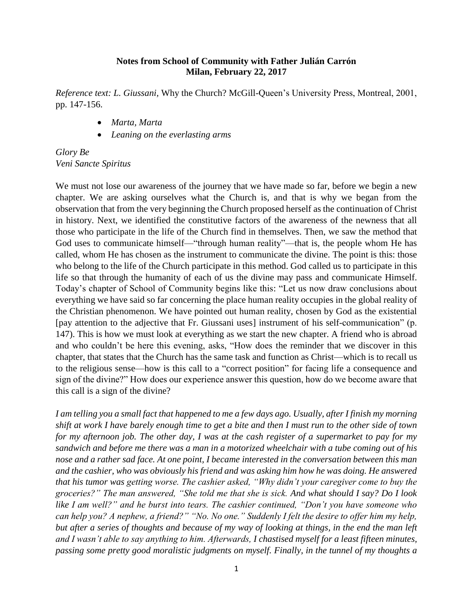## **Notes from School of Community with Father Julián Carrón Milan, February 22, 2017**

*Reference text: L. Giussani,* Why the Church? McGill-Queen's University Press, Montreal, 2001, pp. 147-156.

- *Marta, Marta*
- *Leaning on the everlasting arms*

*Glory Be Veni Sancte Spiritus*

We must not lose our awareness of the journey that we have made so far, before we begin a new chapter. We are asking ourselves what the Church is, and that is why we began from the observation that from the very beginning the Church proposed herself as the continuation of Christ in history. Next, we identified the constitutive factors of the awareness of the newness that all those who participate in the life of the Church find in themselves. Then, we saw the method that God uses to communicate himself—"through human reality"—that is, the people whom He has called, whom He has chosen as the instrument to communicate the divine. The point is this: those who belong to the life of the Church participate in this method. God called us to participate in this life so that through the humanity of each of us the divine may pass and communicate Himself. Today's chapter of School of Community begins like this: "Let us now draw conclusions about everything we have said so far concerning the place human reality occupies in the global reality of the Christian phenomenon. We have pointed out human reality, chosen by God as the existential [pay attention to the adjective that Fr. Giussani uses] instrument of his self-communication" (p. 147). This is how we must look at everything as we start the new chapter. A friend who is abroad and who couldn't be here this evening, asks, "How does the reminder that we discover in this chapter, that states that the Church has the same task and function as Christ—which is to recall us to the religious sense—how is this call to a "correct position" for facing life a consequence and sign of the divine?" How does our experience answer this question, how do we become aware that this call is a sign of the divine?

*I am telling you a small fact that happened to me a few days ago. Usually, after I finish my morning shift at work I have barely enough time to get a bite and then I must run to the other side of town for my afternoon job. The other day, I was at the cash register of a supermarket to pay for my sandwich and before me there was a man in a motorized wheelchair with a tube coming out of his nose and a rather sad face. At one point, I became interested in the conversation between this man and the cashier, who was obviously his friend and was asking him how he was doing. He answered that his tumor was getting worse. The cashier asked, "Why didn't your caregiver come to buy the groceries?" The man answered, "She told me that she is sick. And what should I say? Do I look like I am well?" and he burst into tears. The cashier continued, "Don't you have someone who can help you? A nephew, a friend?" "No. No one." Suddenly I felt the desire to offer him my help, but after a series of thoughts and because of my way of looking at things, in the end the man left and I wasn't able to say anything to him. Afterwards, I chastised myself for a least fifteen minutes, passing some pretty good moralistic judgments on myself. Finally, in the tunnel of my thoughts a*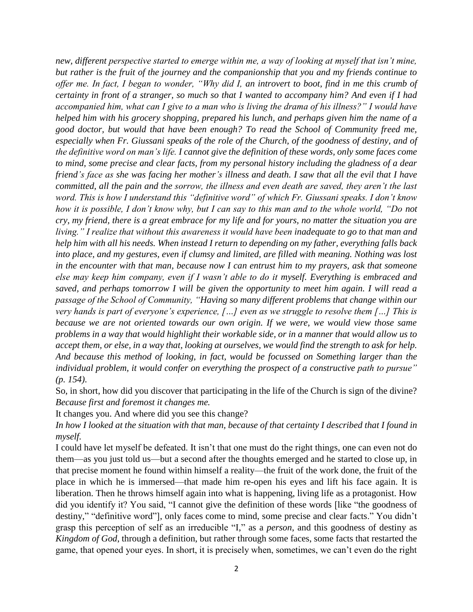*new, different perspective started to emerge within me, a way of looking at myself that isn't mine, but rather is the fruit of the journey and the companionship that you and my friends continue to offer me. In fact, I began to wonder, "Why did I, an introvert to boot, find in me this crumb of certainty in front of a stranger, so much so that I wanted to accompany him? And even if I had accompanied him, what can I give to a man who is living the drama of his illness?" I would have helped him with his grocery shopping, prepared his lunch, and perhaps given him the name of a good doctor, but would that have been enough? To read the School of Community freed me, especially when Fr. Giussani speaks of the role of the Church, of the goodness of destiny, and of the definitive word on man's life. I cannot give the definition of these words, only some faces come to mind, some precise and clear facts, from my personal history including the gladness of a dear friend's face as she was facing her mother's illness and death. I saw that all the evil that I have committed, all the pain and the sorrow, the illness and even death are saved, they aren't the last word. This is how I understand this "definitive word" of which Fr. Giussani speaks. I don't know how it is possible, I don't know why, but I can say to this man and to the whole world, "Do not cry, my friend, there is a great embrace for my life and for yours, no matter the situation you are living." I realize that without this awareness it would have been inadequate to go to that man and help him with all his needs. When instead I return to depending on my father, everything falls back into place, and my gestures, even if clumsy and limited, are filled with meaning. Nothing was lost in the encounter with that man, because now I can entrust him to my prayers, ask that someone else may keep him company, even if I wasn't able to do it myself. Everything is embraced and saved, and perhaps tomorrow I will be given the opportunity to meet him again. I will read a passage of the School of Community, "Having so many different problems that change within our very hands is part of everyone's experience, […] even as we struggle to resolve them […] This is because we are not oriented towards our own origin. If we were, we would view those same problems in a way that would highlight their workable side, or in a manner that would allow us to accept them, or else, in a way that, looking at ourselves, we would find the strength to ask for help. And because this method of looking, in fact, would be focussed on Something larger than the individual problem, it would confer on everything the prospect of a constructive path to pursue" (p. 154).*

So, in short, how did you discover that participating in the life of the Church is sign of the divine? *Because first and foremost it changes me.*

It changes you. And where did you see this change?

*In how I looked at the situation with that man, because of that certainty I described that I found in myself.*

I could have let myself be defeated. It isn't that one must do the right things, one can even not do them—as you just told us—but a second after the thoughts emerged and he started to close up, in that precise moment he found within himself a reality—the fruit of the work done, the fruit of the place in which he is immersed—that made him re-open his eyes and lift his face again. It is liberation. Then he throws himself again into what is happening, living life as a protagonist. How did you identify it? You said, "I cannot give the definition of these words [like "the goodness of destiny," "definitive word"], only faces come to mind, some precise and clear facts." You didn't grasp this perception of self as an irreducible "I," as a *person*, and this goodness of destiny as *Kingdom of God*, through a definition, but rather through some faces, some facts that restarted the game, that opened your eyes. In short, it is precisely when, sometimes, we can't even do the right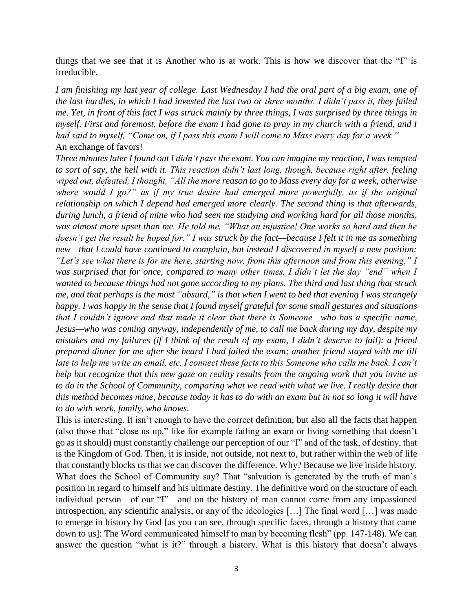things that we see that it is Another who is at work. This is how we discover that the "I" is irreducible.

*I am finishing my last year of college. Last Wednesday I had the oral part of a big exam, one of the last hurdles, in which I had invested the last two or three months. I didn't pass it, they failed me. Yet, in front of this fact I was struck mainly by three things, I was surprised by three things in myself. First and foremost, before the exam I had gone to pray in my church with a friend, and I had said to myself, "Come on, if I pass this exam I will come to Mass every day for a week."* An exchange of favors!

*Three minutes later I found out I didn't pass the exam. You can imagine my reaction, I was tempted to sort of say, the hell with it. This reaction didn't last long, though, because right after, feeling wiped out, defeated, I thought, "All the more reason to go to Mass every day for a week, otherwise where would I go?" as if my true desire had emerged more powerfully, as if the original relationship on which I depend had emerged more clearly. The second thing is that afterwards, during lunch, a friend of mine who had seen me studying and working hard for all those months, was almost more upset than me. He told me, "What an injustice! One works so hard and then he doesn't get the result he hoped for." I was struck by the fact—because I felt it in me as something new—that I could have continued to complain, but instead I discovered in myself a new position: "Let's see what there is for me here, starting now, from this afternoon and from this evening." I was surprised that for once, compared to many other times, I didn't let the day "end" when I wanted to because things had not gone according to my plans. The third and last thing that struck me, and that perhaps is the most "absurd," is that when I went to bed that evening I was strangely happy. I was happy in the sense that I found myself grateful for some small gestures and situations that I couldn't ignore and that made it clear that there is Someone—who has a specific name, Jesus—who was coming anyway, independently of me, to call me back during my day, despite my mistakes and my failures (if I think of the result of my exam, I didn't deserve to fail): a friend prepared dinner for me after she heard I had failed the exam; another friend stayed with me till late to help me write an email, etc. I connect these facts to this Someone who calls me back. I can't help but recognize that this new gaze on reality results from the ongoing work that you invite us to do in the School of Community, comparing what we read with what we live. I really desire that this method becomes mine, because today it has to do with an exam but in not so long it will have to do with work, family, who knows.*

This is interesting. It isn't enough to have the correct definition, but also all the facts that happen (also those that "close us up," like for example failing an exam or living something that doesn't go as it should) must constantly challenge our perception of our "I" and of the task, of destiny, that is the Kingdom of God. Then, it is inside, not outside, not next to, but rather within the web of life that constantly blocks us that we can discover the difference. Why? Because we live inside history. What does the School of Community say? That "salvation is generated by the truth of man's position in regard to himself and his ultimate destiny. The definitive word on the structure of each individual person—of our "I"—and on the history of man cannot come from any impassioned introspection, any scientific analysis, or any of the ideologies […] The final word […] was made to emerge in history by God [as you can see, through specific faces, through a history that came down to us]: The Word communicated himself to man by becoming flesh" (pp. 147-148). We can answer the question "what is it?" through a history. What is this history that doesn't always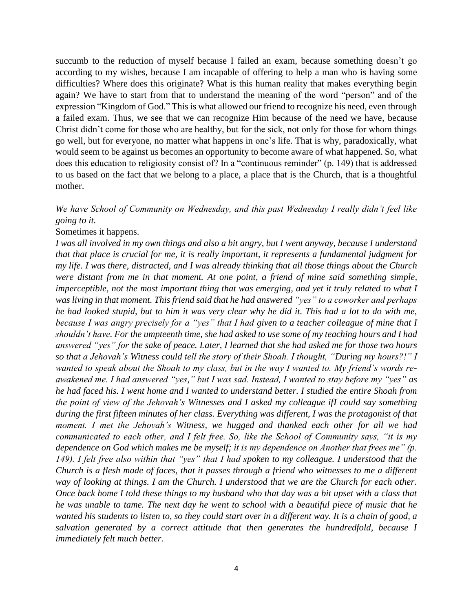succumb to the reduction of myself because I failed an exam, because something doesn't go according to my wishes, because I am incapable of offering to help a man who is having some difficulties? Where does this originate? What is this human reality that makes everything begin again? We have to start from that to understand the meaning of the word "person" and of the expression "Kingdom of God." This is what allowed our friend to recognize his need, even through a failed exam. Thus, we see that we can recognize Him because of the need we have, because Christ didn't come for those who are healthy, but for the sick, not only for those for whom things go well, but for everyone, no matter what happens in one's life. That is why, paradoxically, what would seem to be against us becomes an opportunity to become aware of what happened. So, what does this education to religiosity consist of? In a "continuous reminder" (p. 149) that is addressed to us based on the fact that we belong to a place, a place that is the Church, that is a thoughtful mother.

## *We have School of Community on Wednesday, and this past Wednesday I really didn't feel like going to it.*

Sometimes it happens.

*I was all involved in my own things and also a bit angry, but I went anyway, because I understand that that place is crucial for me, it is really important, it represents a fundamental judgment for my life. I was there, distracted, and I was already thinking that all those things about the Church were distant from me in that moment. At one point, a friend of mine said something simple, imperceptible, not the most important thing that was emerging, and yet it truly related to what I was living in that moment. This friend said that he had answered "yes" to a coworker and perhaps he had looked stupid, but to him it was very clear why he did it. This had a lot to do with me, because I was angry precisely for a "yes" that I had given to a teacher colleague of mine that I shouldn't have. For the umpteenth time, she had asked to use some of my teaching hours and I had answered "yes" for the sake of peace. Later, I learned that she had asked me for those two hours so that a Jehovah's Witness could tell the story of their Shoah. I thought, "During my hours?!" I wanted to speak about the Shoah to my class, but in the way I wanted to. My friend's words reawakened me. I had answered "yes," but I was sad. Instead, I wanted to stay before my "yes" as he had faced his. I went home and I wanted to understand better. I studied the entire Shoah from the point of view of the Jehovah's Witnesses and I asked my colleague ifI could say something during the first fifteen minutes of her class. Everything was different, I was the protagonist of that moment. I met the Jehovah's Witness, we hugged and thanked each other for all we had communicated to each other, and I felt free. So, like the School of Community says, "it is my dependence on God which makes me be myself; it is my dependence on Another that frees me" (p. 149). I felt free also within that "yes" that I had spoken to my colleague. I understood that the Church is a flesh made of faces, that it passes through a friend who witnesses to me a different way of looking at things. I am the Church. I understood that we are the Church for each other. Once back home I told these things to my husband who that day was a bit upset with a class that he was unable to tame. The next day he went to school with a beautiful piece of music that he wanted his students to listen to, so they could start over in a different way. It is a chain of good, a salvation generated by a correct attitude that then generates the hundredfold, because I immediately felt much better.*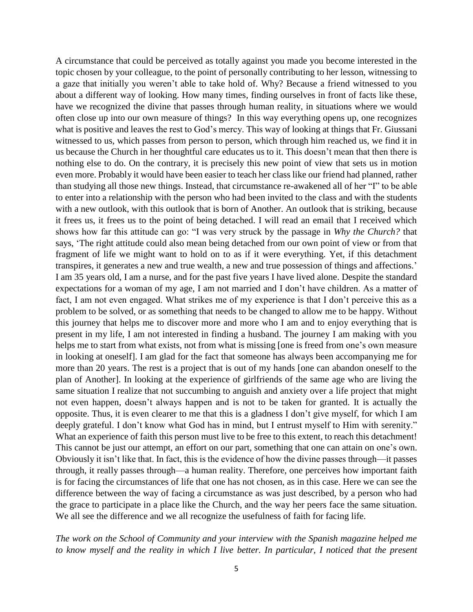A circumstance that could be perceived as totally against you made you become interested in the topic chosen by your colleague, to the point of personally contributing to her lesson, witnessing to a gaze that initially you weren't able to take hold of. Why? Because a friend witnessed to you about a different way of looking. How many times, finding ourselves in front of facts like these, have we recognized the divine that passes through human reality, in situations where we would often close up into our own measure of things? In this way everything opens up, one recognizes what is positive and leaves the rest to God's mercy. This way of looking at things that Fr. Giussani witnessed to us, which passes from person to person, which through him reached us, we find it in us because the Church in her thoughtful care educates us to it. This doesn't mean that then there is nothing else to do. On the contrary, it is precisely this new point of view that sets us in motion even more. Probably it would have been easier to teach her class like our friend had planned, rather than studying all those new things. Instead, that circumstance re-awakened all of her "I" to be able to enter into a relationship with the person who had been invited to the class and with the students with a new outlook, with this outlook that is born of Another. An outlook that is striking, because it frees us, it frees us to the point of being detached. I will read an email that I received which shows how far this attitude can go: "I was very struck by the passage in *Why the Church?* that says, 'The right attitude could also mean being detached from our own point of view or from that fragment of life we might want to hold on to as if it were everything. Yet, if this detachment transpires, it generates a new and true wealth, a new and true possession of things and affections.' I am 35 years old, I am a nurse, and for the past five years I have lived alone. Despite the standard expectations for a woman of my age, I am not married and I don't have children. As a matter of fact, I am not even engaged. What strikes me of my experience is that I don't perceive this as a problem to be solved, or as something that needs to be changed to allow me to be happy. Without this journey that helps me to discover more and more who I am and to enjoy everything that is present in my life, I am not interested in finding a husband. The journey I am making with you helps me to start from what exists, not from what is missing [one is freed from one's own measure in looking at oneself]. I am glad for the fact that someone has always been accompanying me for more than 20 years. The rest is a project that is out of my hands [one can abandon oneself to the plan of Another]. In looking at the experience of girlfriends of the same age who are living the same situation I realize that not succumbing to anguish and anxiety over a life project that might not even happen, doesn't always happen and is not to be taken for granted. It is actually the opposite. Thus, it is even clearer to me that this is a gladness I don't give myself, for which I am deeply grateful. I don't know what God has in mind, but I entrust myself to Him with serenity." What an experience of faith this person must live to be free to this extent, to reach this detachment! This cannot be just our attempt, an effort on our part, something that one can attain on one's own. Obviously it isn't like that. In fact, this is the evidence of how the divine passes through—it passes through, it really passes through—a human reality. Therefore, one perceives how important faith is for facing the circumstances of life that one has not chosen, as in this case. Here we can see the difference between the way of facing a circumstance as was just described, by a person who had the grace to participate in a place like the Church, and the way her peers face the same situation. We all see the difference and we all recognize the usefulness of faith for facing life.

*The work on the School of Community and your interview with the Spanish magazine helped me to know myself and the reality in which I live better. In particular, I noticed that the present*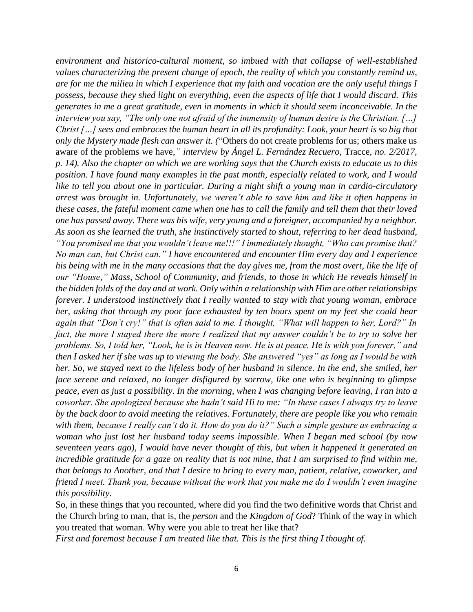*environment and historico-cultural moment, so imbued with that collapse of well-established values characterizing the present change of epoch, the reality of which you constantly remind us, are for me the milieu in which I experience that my faith and vocation are the only useful things I possess, because they shed light on everything, even the aspects of life that I would discard. This generates in me a great gratitude, even in moments in which it should seem inconceivable. In the interview you say, "The only one not afraid of the immensity of human desire is the Christian. […] Christ […] sees and embraces the human heart in all its profundity: Look, your heart is so big that only the Mystery made flesh can answer it. (*"Others do not create problems for us; others make us aware of the problems we have,*" interview by Ángel L. Fernández Recuero,* Tracce*, no. 2/2017, p. 14). Also the chapter on which we are working says that the Church exists to educate us to this position. I have found many examples in the past month, especially related to work, and I would like to tell you about one in particular. During a night shift a young man in cardio-circulatory arrest was brought in. Unfortunately, we weren't able to save him and like it often happens in these cases, the fateful moment came when one has to call the family and tell them that their loved one has passed away. There was his wife, very young and a foreigner, accompanied by a neighbor. As soon as she learned the truth, she instinctively started to shout, referring to her dead husband, "You promised me that you wouldn't leave me!!!" I immediately thought, "Who can promise that? No man can, but Christ can." I have encountered and encounter Him every day and I experience his being with me in the many occasions that the day gives me, from the most overt, like the life of our "House," Mass, School of Community, and friends, to those in which He reveals himself in the hidden folds of the day and at work. Only within a relationship with Him are other relationships forever. I understood instinctively that I really wanted to stay with that young woman, embrace her, asking that through my poor face exhausted by ten hours spent on my feet she could hear again that "Don't cry!" that is often said to me. I thought, "What will happen to her, Lord?" In fact, the more I stayed there the more I realized that my answer couldn't be to try to solve her problems. So, I told her, "Look, he is in Heaven now. He is at peace. He is with you forever," and then I asked her if she was up to viewing the body. She answered "yes" as long as I would be with her. So, we stayed next to the lifeless body of her husband in silence. In the end, she smiled, her face serene and relaxed, no longer disfigured by sorrow, like one who is beginning to glimpse peace, even as just a possibility. In the morning, when I was changing before leaving, I ran into a coworker. She apologized because she hadn't said Hi to me: "In these cases I always try to leave by the back door to avoid meeting the relatives. Fortunately, there are people like you who remain with them, because I really can't do it. How do you do it?" Such a simple gesture as embracing a woman who just lost her husband today seems impossible. When I began med school (by now seventeen years ago), I would have never thought of this, but when it happened it generated an incredible gratitude for a gaze on reality that is not mine, that I am surprised to find within me, that belongs to Another, and that I desire to bring to every man, patient, relative, coworker, and friend I meet. Thank you, because without the work that you make me do I wouldn't even imagine this possibility.*

So, in these things that you recounted, where did you find the two definitive words that Christ and the Church bring to man, that is, the *person* and the *Kingdom of God*? Think of the way in which you treated that woman. Why were you able to treat her like that?

*First and foremost because I am treated like that. This is the first thing I thought of.*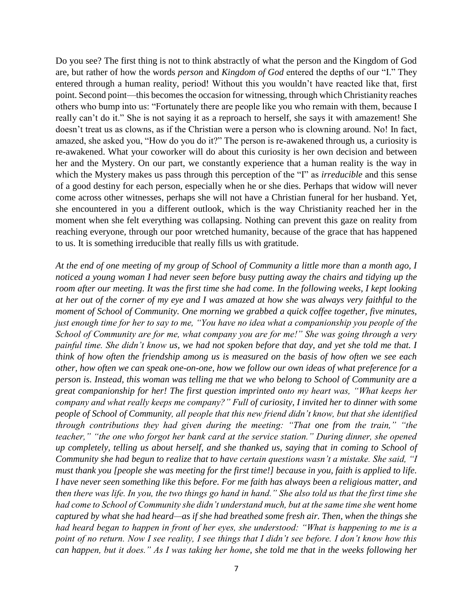Do you see? The first thing is not to think abstractly of what the person and the Kingdom of God are, but rather of how the words *person* and *Kingdom of God* entered the depths of our "I." They entered through a human reality, period! Without this you wouldn't have reacted like that, first point. Second point—this becomes the occasion for witnessing, through which Christianity reaches others who bump into us: "Fortunately there are people like you who remain with them, because I really can't do it." She is not saying it as a reproach to herself, she says it with amazement! She doesn't treat us as clowns, as if the Christian were a person who is clowning around. No! In fact, amazed, she asked you, "How do you do it?" The person is re-awakened through us, a curiosity is re-awakened. What your coworker will do about this curiosity is her own decision and between her and the Mystery. On our part, we constantly experience that a human reality is the way in which the Mystery makes us pass through this perception of the "I" as *irreducible* and this sense of a good destiny for each person, especially when he or she dies. Perhaps that widow will never come across other witnesses, perhaps she will not have a Christian funeral for her husband. Yet, she encountered in you a different outlook, which is the way Christianity reached her in the moment when she felt everything was collapsing. Nothing can prevent this gaze on reality from reaching everyone, through our poor wretched humanity, because of the grace that has happened to us. It is something irreducible that really fills us with gratitude.

*At the end of one meeting of my group of School of Community a little more than a month ago, I noticed a young woman I had never seen before busy putting away the chairs and tidying up the room after our meeting. It was the first time she had come. In the following weeks, I kept looking at her out of the corner of my eye and I was amazed at how she was always very faithful to the moment of School of Community. One morning we grabbed a quick coffee together, five minutes, just enough time for her to say to me, "You have no idea what a companionship you people of the School of Community are for me, what company you are for me!" She was going through a very painful time. She didn't know us, we had not spoken before that day, and yet she told me that. I think of how often the friendship among us is measured on the basis of how often we see each other, how often we can speak one-on-one, how we follow our own ideas of what preference for a person is. Instead, this woman was telling me that we who belong to School of Community are a great companionship for her! The first question imprinted onto my heart was, "What keeps her company and what really keeps me company?" Full of curiosity, I invited her to dinner with some people of School of Community, all people that this new friend didn't know, but that she identified through contributions they had given during the meeting: "That one from the train," "the teacher," "the one who forgot her bank card at the service station." During dinner, she opened up completely, telling us about herself, and she thanked us, saying that in coming to School of Community she had begun to realize that to have certain questions wasn't a mistake. She said, "I must thank you [people she was meeting for the first time!] because in you, faith is applied to life. I have never seen something like this before. For me faith has always been a religious matter, and then there was life. In you, the two things go hand in hand." She also told us that the first time she had come to School of Community she didn't understand much, but at the same time she went home captured by what she had heard—as if she had breathed some fresh air. Then, when the things she had heard began to happen in front of her eyes, she understood: "What is happening to me is a point of no return. Now I see reality, I see things that I didn't see before. I don't know how this can happen, but it does." As I was taking her home, she told me that in the weeks following her*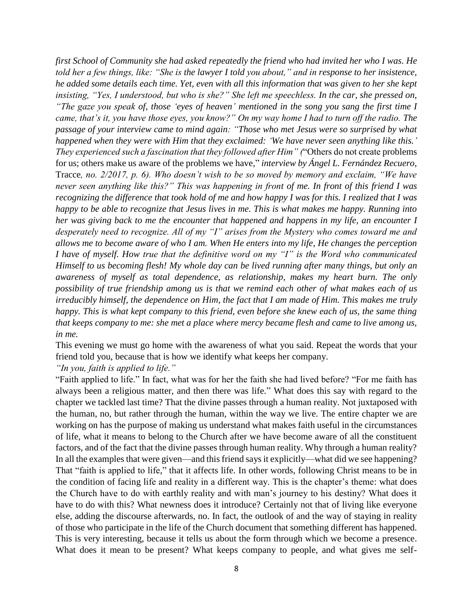*first School of Community she had asked repeatedly the friend who had invited her who I was. He told her a few things, like: "She is the lawyer I told you about," and in response to her insistence, he added some details each time. Yet, even with all this information that was given to her she kept insisting, "Yes, I understood, but who is she?" She left me speechless. In the car, she pressed on, "The gaze you speak of, those 'eyes of heaven' mentioned in the song you sang the first time I came, that's it, you have those eyes, you know?" On my way home I had to turn off the radio. The passage of your interview came to mind again: "Those who met Jesus were so surprised by what happened when they were with Him that they exclaimed: 'We have never seen anything like this.' They experienced such a fascination that they followed after Him" (*"Others do not create problems for us; others make us aware of the problems we have," *interview by Ángel L. Fernández Recuero,*  Tracce*, no. 2/2017, p. 6). Who doesn't wish to be so moved by memory and exclaim, "We have never seen anything like this?" This was happening in front of me. In front of this friend I was recognizing the difference that took hold of me and how happy I was for this. I realized that I was happy to be able to recognize that Jesus lives in me. This is what makes me happy. Running into her was giving back to me the encounter that happened and happens in my life, an encounter I desperately need to recognize. All of my "I" arises from the Mystery who comes toward me and allows me to become aware of who I am. When He enters into my life, He changes the perception I have of myself. How true that the definitive word on my "I" is the Word who communicated Himself to us becoming flesh! My whole day can be lived running after many things, but only an awareness of myself as total dependence, as relationship, makes my heart burn. The only possibility of true friendship among us is that we remind each other of what makes each of us irreducibly himself, the dependence on Him, the fact that I am made of Him. This makes me truly happy. This is what kept company to this friend, even before she knew each of us, the same thing that keeps company to me: she met a place where mercy became flesh and came to live among us, in me.*

This evening we must go home with the awareness of what you said. Repeat the words that your friend told you, because that is how we identify what keeps her company.

*"In you, faith is applied to life."*

"Faith applied to life." In fact, what was for her the faith she had lived before? "For me faith has always been a religious matter, and then there was life." What does this say with regard to the chapter we tackled last time? That the divine passes through a human reality. Not juxtaposed with the human, no, but rather through the human, within the way we live. The entire chapter we are working on has the purpose of making us understand what makes faith useful in the circumstances of life, what it means to belong to the Church after we have become aware of all the constituent factors, and of the fact that the divine passes through human reality. Why through a human reality? In all the examples that were given—and this friend says it explicitly—what did we see happening? That "faith is applied to life," that it affects life. In other words, following Christ means to be in the condition of facing life and reality in a different way. This is the chapter's theme: what does the Church have to do with earthly reality and with man's journey to his destiny? What does it have to do with this? What newness does it introduce? Certainly not that of living like everyone else, adding the discourse afterwards, no. In fact, the outlook of and the way of staying in reality of those who participate in the life of the Church document that something different has happened. This is very interesting, because it tells us about the form through which we become a presence. What does it mean to be present? What keeps company to people, and what gives me self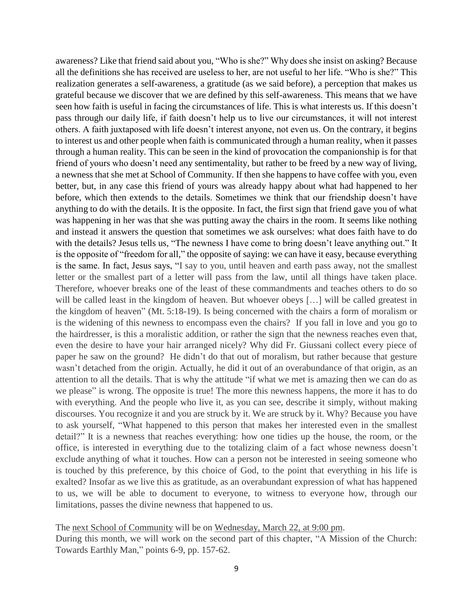awareness? Like that friend said about you, "Who is she?" Why does she insist on asking? Because all the definitions she has received are useless to her, are not useful to her life. "Who is she?" This realization generates a self-awareness, a gratitude (as we said before), a perception that makes us grateful because we discover that we are defined by this self-awareness. This means that we have seen how faith is useful in facing the circumstances of life. This is what interests us. If this doesn't pass through our daily life, if faith doesn't help us to live our circumstances, it will not interest others. A faith juxtaposed with life doesn't interest anyone, not even us. On the contrary, it begins to interest us and other people when faith is communicated through a human reality, when it passes through a human reality. This can be seen in the kind of provocation the companionship is for that friend of yours who doesn't need any sentimentality, but rather to be freed by a new way of living, a newness that she met at School of Community. If then she happens to have coffee with you, even better, but, in any case this friend of yours was already happy about what had happened to her before, which then extends to the details. Sometimes we think that our friendship doesn't have anything to do with the details. It is the opposite. In fact, the first sign that friend gave you of what was happening in her was that she was putting away the chairs in the room. It seems like nothing and instead it answers the question that sometimes we ask ourselves: what does faith have to do with the details? Jesus tells us, "The newness I have come to bring doesn't leave anything out." It is the opposite of "freedom for all," the opposite of saying: we can have it easy, because everything is the same. In fact, Jesus says, "I say to you, until heaven and earth pass away, not the smallest letter or the smallest part of a letter will pass from the law, until all things have taken place. Therefore, whoever breaks one of the least of these commandments and teaches others to do so will be called least in the kingdom of heaven. But whoever obeys [...] will be called greatest in the kingdom of heaven" (Mt. 5:18-19). Is being concerned with the chairs a form of moralism or is the widening of this newness to encompass even the chairs? If you fall in love and you go to the hairdresser, is this a moralistic addition, or rather the sign that the newness reaches even that, even the desire to have your hair arranged nicely? Why did Fr. Giussani collect every piece of paper he saw on the ground? He didn't do that out of moralism, but rather because that gesture wasn't detached from the origin. Actually, he did it out of an overabundance of that origin, as an attention to all the details. That is why the attitude "if what we met is amazing then we can do as we please" is wrong. The opposite is true! The more this newness happens, the more it has to do with everything. And the people who live it, as you can see, describe it simply, without making discourses. You recognize it and you are struck by it. We are struck by it. Why? Because you have to ask yourself, "What happened to this person that makes her interested even in the smallest detail?" It is a newness that reaches everything: how one tidies up the house, the room, or the office, is interested in everything due to the totalizing claim of a fact whose newness doesn't exclude anything of what it touches. How can a person not be interested in seeing someone who is touched by this preference, by this choice of God, to the point that everything in his life is exalted? Insofar as we live this as gratitude, as an overabundant expression of what has happened to us, we will be able to document to everyone, to witness to everyone how, through our limitations, passes the divine newness that happened to us.

## The next School of Community will be on Wednesday, March 22, at 9:00 pm.

During this month, we will work on the second part of this chapter, "A Mission of the Church: Towards Earthly Man," points 6-9, pp. 157-62.